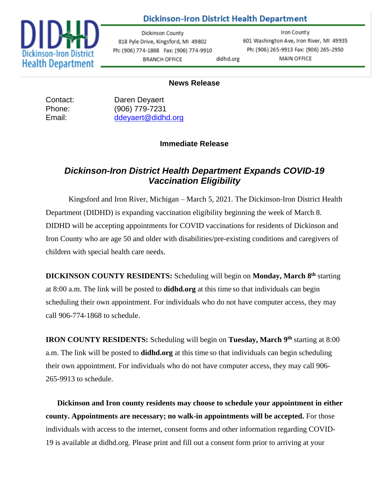

### **Dickinson-Iron District Health Department**

**Dickinson County** 818 Pyle Drive, Kingsford, MI 49802 Ph: (906) 774-1868 Fax: (906) 774-9910 **BRANCH OFFICE** didhd.org

**Iron County** 601 Washington Ave, Iron River, MI 49935 Ph: (906) 265-9913 Fax: (906) 265-2950 **MAIN OFFICE** 

#### **News Release**

Contact: Daren Deyaert Phone: (906) 779-7231 Email: [ddeyaert@didhd.org](mailto:ddeyaert@didhd.org)

#### **Immediate Release**

## *Dickinson-Iron District Health Department Expands COVID-19 Vaccination Eligibility*

Kingsford and Iron River, Michigan – March 5, 2021. The Dickinson-Iron District Health Department (DIDHD) is expanding vaccination eligibility beginning the week of March 8. DIDHD will be accepting appointments for COVID vaccinations for residents of Dickinson and Iron County who are age 50 and older with disabilities/pre-existing conditions and caregivers of children with special health care needs.

**DICKINSON COUNTY RESIDENTS:** Scheduling will begin on **Monday, March 8 th** starting at 8:00 a.m. The link will be posted to **didhd.org** at this time so that individuals can begin scheduling their own appointment. For individuals who do not have computer access, they may call 906-774-1868 to schedule.

**IRON COUNTY RESIDENTS:** Scheduling will begin on **Tuesday, March 9 th** starting at 8:00 a.m. The link will be posted to **didhd.org** at this time so that individuals can begin scheduling their own appointment. For individuals who do not have computer access, they may call 906- 265-9913 to schedule.

**Dickinson and Iron county residents may choose to schedule your appointment in either county. Appointments are necessary; no walk-in appointments will be accepted.** For those individuals with access to the internet, consent forms and other information regarding COVID-19 is available at didhd.org. Please print and fill out a consent form prior to arriving at your